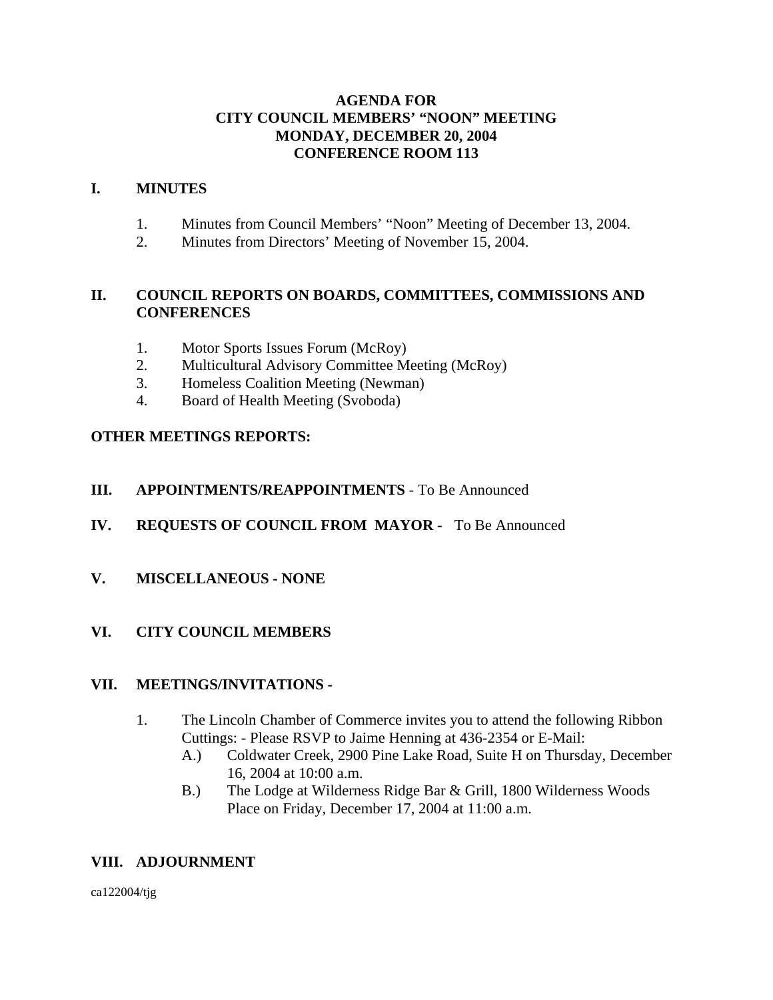### **AGENDA FOR CITY COUNCIL MEMBERS' "NOON" MEETING MONDAY, DECEMBER 20, 2004 CONFERENCE ROOM 113**

#### **I. MINUTES**

- 1. Minutes from Council Members' "Noon" Meeting of December 13, 2004.
- 2. Minutes from Directors' Meeting of November 15, 2004.

## **II. COUNCIL REPORTS ON BOARDS, COMMITTEES, COMMISSIONS AND CONFERENCES**

- 1. Motor Sports Issues Forum (McRoy)
- 2. Multicultural Advisory Committee Meeting (McRoy)
- 3. Homeless Coalition Meeting (Newman)
- 4. Board of Health Meeting (Svoboda)

## **OTHER MEETINGS REPORTS:**

## **III. APPOINTMENTS/REAPPOINTMENTS** - To Be Announced

- **IV. REQUESTS OF COUNCIL FROM MAYOR** To Be Announced
- **V. MISCELLANEOUS NONE**

## **VI. CITY COUNCIL MEMBERS**

## **VII. MEETINGS/INVITATIONS -**

- 1. The Lincoln Chamber of Commerce invites you to attend the following Ribbon Cuttings: - Please RSVP to Jaime Henning at 436-2354 or E-Mail:
	- A.) Coldwater Creek, 2900 Pine Lake Road, Suite H on Thursday, December 16, 2004 at 10:00 a.m.
	- B.) The Lodge at Wilderness Ridge Bar & Grill, 1800 Wilderness Woods Place on Friday, December 17, 2004 at 11:00 a.m.

## **VIII. ADJOURNMENT**

ca122004/tjg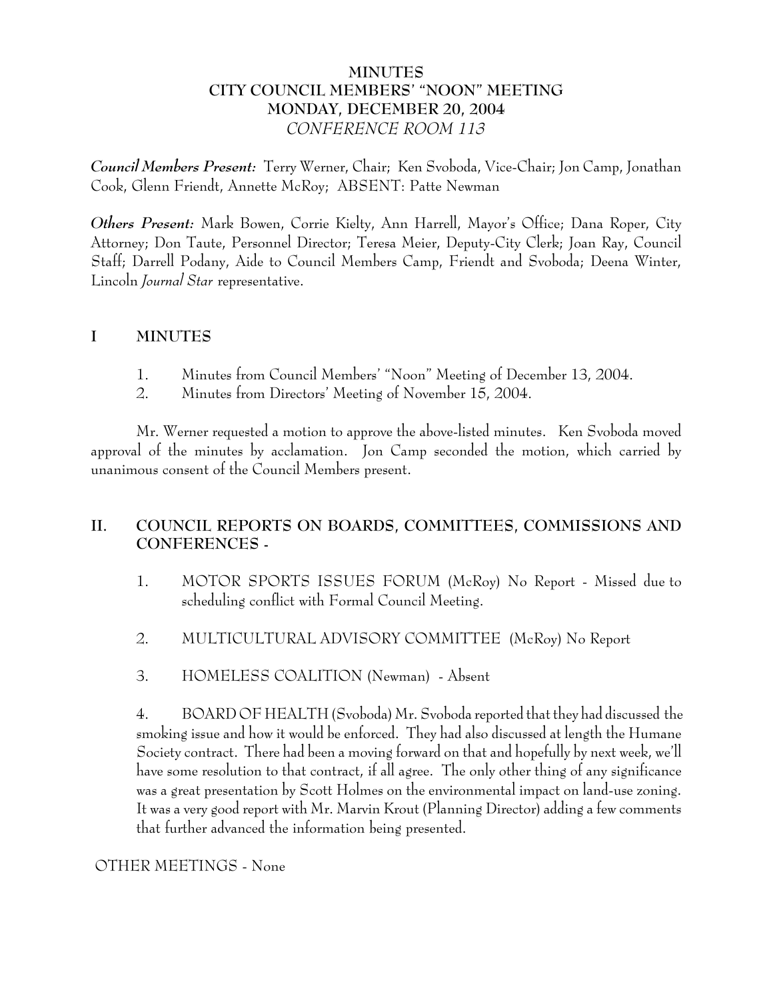## **MINUTES CITY COUNCIL MEMBERS' "NOON" MEETING MONDAY, DECEMBER 20, 2004** *CONFERENCE ROOM 113*

*Council Members Present:* Terry Werner, Chair; Ken Svoboda, Vice-Chair; Jon Camp, Jonathan Cook, Glenn Friendt, Annette McRoy; ABSENT: Patte Newman

*Others Present:* Mark Bowen, Corrie Kielty, Ann Harrell, Mayor's Office; Dana Roper, City Attorney; Don Taute, Personnel Director; Teresa Meier, Deputy-City Clerk; Joan Ray, Council Staff; Darrell Podany, Aide to Council Members Camp, Friendt and Svoboda; Deena Winter, Lincoln *Journal Star* representative.

## **I MINUTES**

- 1. Minutes from Council Members' "Noon" Meeting of December 13, 2004.
- 2. Minutes from Directors' Meeting of November 15, 2004.

Mr. Werner requested a motion to approve the above-listed minutes. Ken Svoboda moved approval of the minutes by acclamation. Jon Camp seconded the motion, which carried by unanimous consent of the Council Members present.

# **II. COUNCIL REPORTS ON BOARDS, COMMITTEES, COMMISSIONS AND CONFERENCES -**

- 1. MOTOR SPORTS ISSUES FORUM (McRoy) No Report Missed due to scheduling conflict with Formal Council Meeting.
- 2. MULTICULTURAL ADVISORY COMMITTEE (McRoy) No Report
- 3. HOMELESS COALITION (Newman) Absent

4. BOARD OF HEALTH (Svoboda) Mr. Svoboda reported that they had discussed the smoking issue and how it would be enforced. They had also discussed at length the Humane Society contract. There had been a moving forward on that and hopefully by next week, we'll have some resolution to that contract, if all agree. The only other thing of any significance was a great presentation by Scott Holmes on the environmental impact on land-use zoning. It was a very good report with Mr. Marvin Krout (Planning Director) adding a few comments that further advanced the information being presented.

## OTHER MEETINGS - None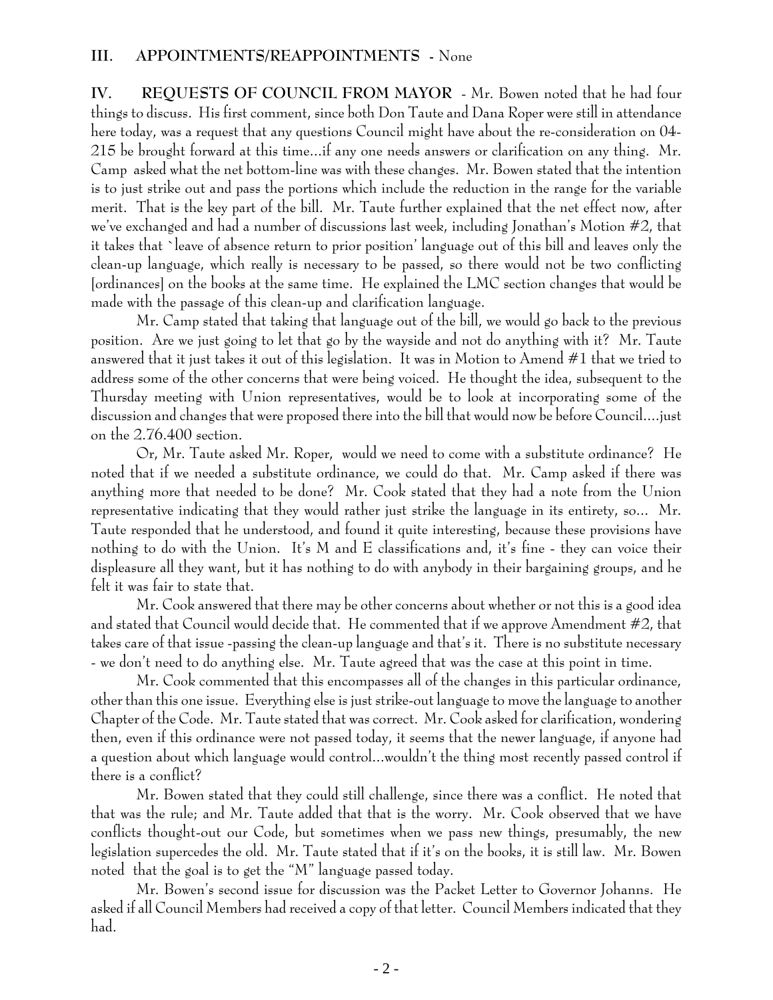**IV. REQUESTS OF COUNCIL FROM MAYOR** - Mr. Bowen noted that he had four things to discuss. His first comment, since both Don Taute and Dana Roper were still in attendance here today, was a request that any questions Council might have about the re-consideration on 04- 215 be brought forward at this time...if any one needs answers or clarification on any thing. Mr. Camp asked what the net bottom-line was with these changes. Mr. Bowen stated that the intention is to just strike out and pass the portions which include the reduction in the range for the variable merit. That is the key part of the bill. Mr. Taute further explained that the net effect now, after we've exchanged and had a number of discussions last week, including Jonathan's Motion #2, that it takes that `leave of absence return to prior position' language out of this bill and leaves only the clean-up language, which really is necessary to be passed, so there would not be two conflicting [ordinances] on the books at the same time. He explained the LMC section changes that would be made with the passage of this clean-up and clarification language.

Mr. Camp stated that taking that language out of the bill, we would go back to the previous position. Are we just going to let that go by the wayside and not do anything with it? Mr. Taute answered that it just takes it out of this legislation. It was in Motion to Amend #1 that we tried to address some of the other concerns that were being voiced. He thought the idea, subsequent to the Thursday meeting with Union representatives, would be to look at incorporating some of the discussion and changes that were proposed there into the bill that would now be before Council....just on the 2.76.400 section.

Or, Mr. Taute asked Mr. Roper, would we need to come with a substitute ordinance? He noted that if we needed a substitute ordinance, we could do that. Mr. Camp asked if there was anything more that needed to be done? Mr. Cook stated that they had a note from the Union representative indicating that they would rather just strike the language in its entirety, so... Mr. Taute responded that he understood, and found it quite interesting, because these provisions have nothing to do with the Union. It's M and E classifications and, it's fine - they can voice their displeasure all they want, but it has nothing to do with anybody in their bargaining groups, and he felt it was fair to state that.

Mr. Cook answered that there may be other concerns about whether or not this is a good idea and stated that Council would decide that. He commented that if we approve Amendment #2, that takes care of that issue -passing the clean-up language and that's it. There is no substitute necessary - we don't need to do anything else. Mr. Taute agreed that was the case at this point in time.

Mr. Cook commented that this encompasses all of the changes in this particular ordinance, other than this one issue. Everything else is just strike-out language to move the language to another Chapter of the Code. Mr. Taute stated that was correct. Mr. Cook asked for clarification, wondering then, even if this ordinance were not passed today, it seems that the newer language, if anyone had a question about which language would control...wouldn't the thing most recently passed control if there is a conflict?

Mr. Bowen stated that they could still challenge, since there was a conflict. He noted that that was the rule; and Mr. Taute added that that is the worry. Mr. Cook observed that we have conflicts thought-out our Code, but sometimes when we pass new things, presumably, the new legislation supercedes the old. Mr. Taute stated that if it's on the books, it is still law. Mr. Bowen noted that the goal is to get the "M" language passed today.

Mr. Bowen's second issue for discussion was the Packet Letter to Governor Johanns. He asked if all Council Members had received a copy of that letter. Council Members indicated that they had.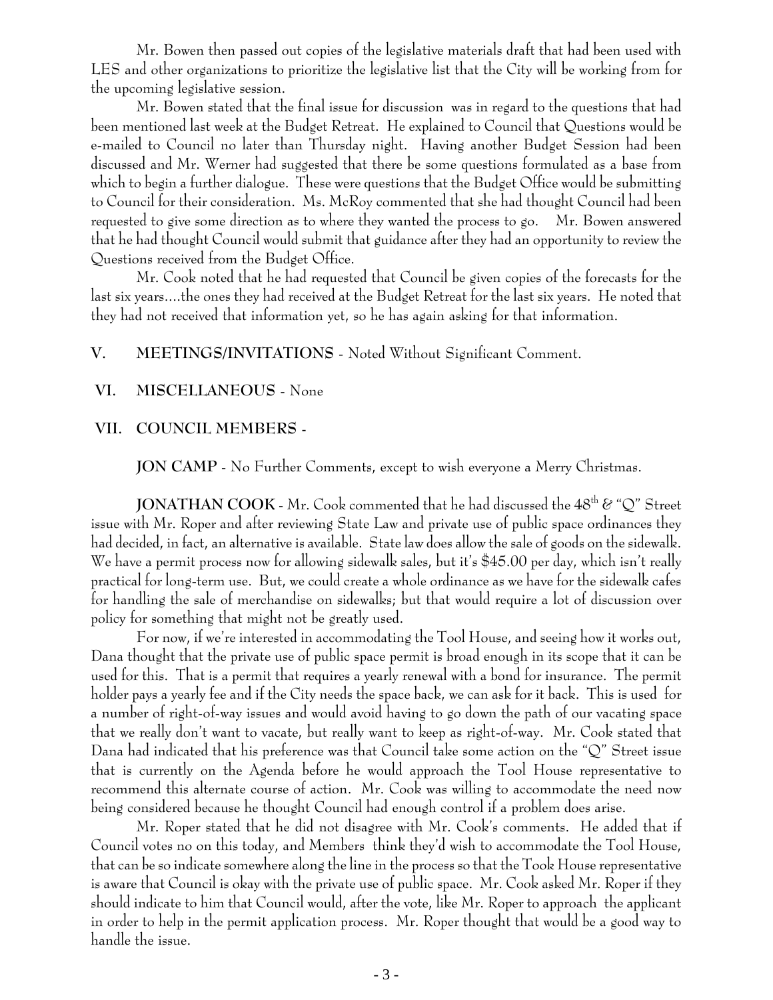Mr. Bowen then passed out copies of the legislative materials draft that had been used with LES and other organizations to prioritize the legislative list that the City will be working from for the upcoming legislative session.

Mr. Bowen stated that the final issue for discussion was in regard to the questions that had been mentioned last week at the Budget Retreat. He explained to Council that Questions would be e-mailed to Council no later than Thursday night. Having another Budget Session had been discussed and Mr. Werner had suggested that there be some questions formulated as a base from which to begin a further dialogue. These were questions that the Budget Office would be submitting to Council for their consideration. Ms. McRoy commented that she had thought Council had been requested to give some direction as to where they wanted the process to go. Mr. Bowen answered that he had thought Council would submit that guidance after they had an opportunity to review the Questions received from the Budget Office.

Mr. Cook noted that he had requested that Council be given copies of the forecasts for the last six years....the ones they had received at the Budget Retreat for the last six years. He noted that they had not received that information yet, so he has again asking for that information.

## **V. MEETINGS/INVITATIONS** - Noted Without Significant Comment.

#### **VI. MISCELLANEOUS** - None

#### **VII. COUNCIL MEMBERS -**

**JON CAMP** - No Further Comments, except to wish everyone a Merry Christmas.

**JONATHAN COOK** - Mr. Cook commented that he had discussed the 48<sup>th</sup> & "Q" Street issue with Mr. Roper and after reviewing State Law and private use of public space ordinances they had decided, in fact, an alternative is available. State law does allow the sale of goods on the sidewalk. We have a permit process now for allowing sidewalk sales, but it's \$45.00 per day, which isn't really practical for long-term use. But, we could create a whole ordinance as we have for the sidewalk cafes for handling the sale of merchandise on sidewalks; but that would require a lot of discussion over policy for something that might not be greatly used.

For now, if we're interested in accommodating the Tool House, and seeing how it works out, Dana thought that the private use of public space permit is broad enough in its scope that it can be used for this. That is a permit that requires a yearly renewal with a bond for insurance. The permit holder pays a yearly fee and if the City needs the space back, we can ask for it back. This is used for a number of right-of-way issues and would avoid having to go down the path of our vacating space that we really don't want to vacate, but really want to keep as right-of-way. Mr. Cook stated that Dana had indicated that his preference was that Council take some action on the "Q" Street issue that is currently on the Agenda before he would approach the Tool House representative to recommend this alternate course of action. Mr. Cook was willing to accommodate the need now being considered because he thought Council had enough control if a problem does arise.

Mr. Roper stated that he did not disagree with Mr. Cook's comments. He added that if Council votes no on this today, and Members think they'd wish to accommodate the Tool House, that can be so indicate somewhere along the line in the process so that the Took House representative is aware that Council is okay with the private use of public space. Mr. Cook asked Mr. Roper if they should indicate to him that Council would, after the vote, like Mr. Roper to approach the applicant in order to help in the permit application process. Mr. Roper thought that would be a good way to handle the issue.